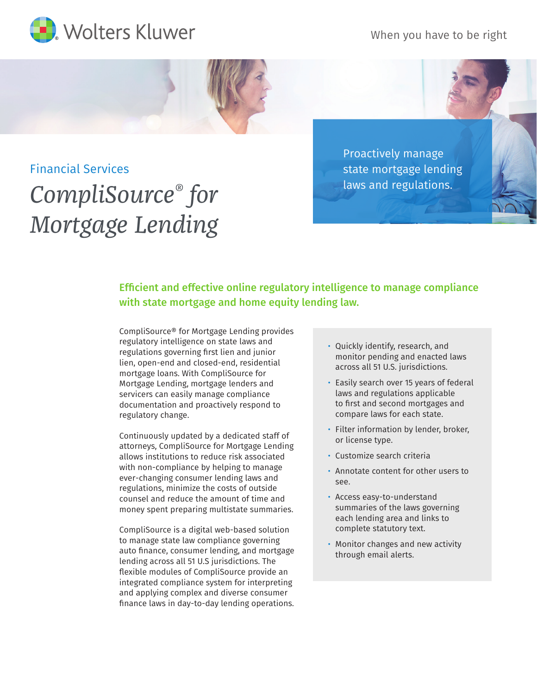When you have to be right



## Financial Services

## *CompliSource® for Mortgage Lending*

Proactively manage state mortgage lending laws and regulations.

Efficient and effective online regulatory intelligence to manage compliance with state mortgage and home equity lending law.

CompliSource® for Mortgage Lending provides regulatory intelligence on state laws and regulations governing first lien and junior lien, open-end and closed-end, residential mortgage loans. With CompliSource for Mortgage Lending, mortgage lenders and servicers can easily manage compliance documentation and proactively respond to regulatory change.

Continuously updated by a dedicated staff of attorneys, CompliSource for Mortgage Lending allows institutions to reduce risk associated with non-compliance by helping to manage ever-changing consumer lending laws and regulations, minimize the costs of outside counsel and reduce the amount of time and money spent preparing multistate summaries.

CompliSource is a digital web-based solution to manage state law compliance governing auto finance, consumer lending, and mortgage lending across all 51 U.S jurisdictions. The flexible modules of CompliSource provide an integrated compliance system for interpreting and applying complex and diverse consumer finance laws in day-to-day lending operations.

- Quickly identify, research, and monitor pending and enacted laws across all 51 U.S. jurisdictions.
- Easily search over 15 years of federal laws and regulations applicable to first and second mortgages and compare laws for each state.
- Filter information by lender, broker, or license type.
- Customize search criteria
- Annotate content for other users to see.
- Access easy-to-understand summaries of the laws governing each lending area and links to complete statutory text.
- Monitor changes and new activity through email alerts.